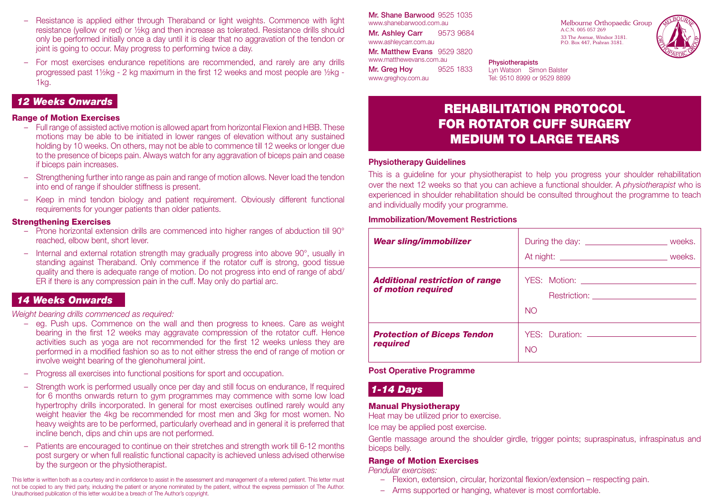- Resistance is applied either through Theraband or light weights. Commence with light resistance (yellow or red) or ½kg and then increase as tolerated. Resistance drills should only be performed initially once a day until it is clear that no aggravation of the tendon or joint is going to occur. May progress to performing twice a day.
- For most exercises endurance repetitions are recommended, and rarely are any drills progressed past 1½kg - 2 kg maximum in the first 12 weeks and most people are ½kg - 1kg.

## *12 Weeks Onwards*

#### Range of Motion Exercises

- Full range of assisted active motion is allowed apart from horizontal Flexion and HBB. These motions may be able to be initiated in lower ranges of elevation without any sustained holding by 10 weeks. On others, may not be able to commence till 12 weeks or longer due to the presence of biceps pain. Always watch for any aggravation of biceps pain and cease if biceps pain increases.
- Strengthening further into range as pain and range of motion allows. Never load the tendon into end of range if shoulder stiffness is present.
- Keep in mind tendon biology and patient requirement. Obviously different functional requirements for younger patients than older patients.

#### **Strengthening Exercises**

- Prone horizontal extension drills are commenced into higher ranges of abduction till 90° reached, elbow bent, short lever.
- Internal and external rotation strength may gradually progress into above 90°, usually in standing against Theraband. Only commence if the rotator cuff is strong, good tissue quality and there is adequate range of motion. Do not progress into end of range of abd/ ER if there is any compression pain in the cuff. May only do partial arc.

### *14 Weeks Onwards*

*Weight bearing drills commenced as required:*

- eg. Push ups. Commence on the wall and then progress to knees. Care as weight bearing in the first 12 weeks may aggravate compression of the rotator cuff. Hence activities such as yoga are not recommended for the first 12 weeks unless they are performed in a modified fashion so as to not either stress the end of range of motion or involve weight bearing of the glenohumeral joint.
- Progress all exercises into functional positions for sport and occupation.
- Strength work is performed usually once per day and still focus on endurance, If required for 6 months onwards return to gym programmes may commence with some low load hypertrophy drills incorporated. In general for most exercises outlined rarely would any weight heavier the 4kg be recommended for most men and 3kg for most women. No heavy weights are to be performed, particularly overhead and in general it is preferred that incline bench, dips and chin ups are not performed.
- Patients are encouraged to continue on their stretches and strength work till 6-12 months post surgery or when full realistic functional capacity is achieved unless advised otherwise by the surgeon or the physiotherapist.

This letter is written both as a courtesy and in confidence to assist in the assessment and management of a referred patient. This letter must not be copied to any third party, including the patient or anyone nominated by the patient, without the express permission of The Author. Unauthorised publication of this letter would be a breach of The Author's copyright.

Mr. Shane Barwood 9525 1035 www.shanebarwood.com.au Mr. Ashley Carr 9573 9684 www.ashleycarr.com.au Mr. Matthew Evans 9529 3820 www.matthewevans.com.au **Mr. Greg Hov 9525 1833** www.greghoy.com.au

Melbourne Orthopaedic Group A.C.N. 005 057 269 33 The Avenue, Windsor 3181. P.O. Box 447, Prahran 3181.



**Physiotherapists** Lyn Watson Simon Balster Tel: 9510 8999 or 9529 8899

# REHABILITATION PROTOCOL FOR ROTATOR CUFF SURGERY MEDIUM TO LARGE TEARS

#### **Physiotherapy Guidelines**

This is a guideline for your physiotherapist to help you progress your shoulder rehabilitation over the next 12 weeks so that you can achieve a functional shoulder. A *physiotherapist* who is experienced in shoulder rehabilitation should be consulted throughout the programme to teach and individually modify your programme.

#### **Immobilization/Movement Restrictions**

| <b>Wear sling/immobilizer</b>                                | During the day: _____________________________ weeks.       |
|--------------------------------------------------------------|------------------------------------------------------------|
| <b>Additional restriction of range</b><br>of motion required | Restriction: <u>_________________________</u><br><b>NO</b> |
| <b>Protection of Biceps Tendon</b><br>required               | <b>NO</b>                                                  |

#### **Post Operative Programme**

# *1-14 Days*

### Manual Physiotherapy

Heat may be utilized prior to exercise.

Ice may be applied post exercise.

Gentle massage around the shoulder girdle, trigger points; supraspinatus, infraspinatus and biceps belly.

#### Range of Motion Exercises

*Pendular exercises:*

- Flexion, extension, circular, horizontal flexion/extension respecting pain.
- Arms supported or hanging, whatever is most comfortable.